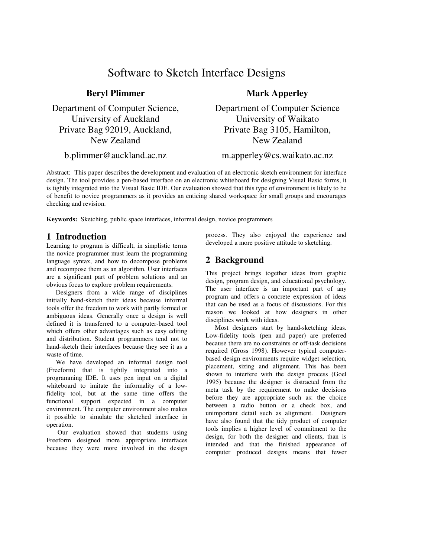# Software to Sketch Interface Designs

Department of Computer Science, University of Auckland Private Bag 92019, Auckland, New Zealand

**Beryl Plimmer**

b.plimmer@auckland.ac.nz

## **Mark Apperley**

Department of Computer Science University of Waikato Private Bag 3105, Hamilton, New Zealand

m.apperley@cs.waikato.ac.nz

Abstract: This paper describes the development and evaluation of an electronic sketch environment for interface design. The tool provides a pen-based interface on an electronic whiteboard for designing Visual Basic forms, it is tightly integrated into the Visual Basic IDE. Our evaluation showed that this type of environment is likely to be of benefit to novice programmers as it provides an enticing shared workspace for small groups and encourages checking and revision.

**Keywords:** Sketching, public space interfaces, informal design, novice programmers

## **1 Introduction**

Learning to program is difficult, in simplistic terms the novice programmer must learn the programming language syntax, and how to decompose problems and recompose them as an algorithm. User interfaces are a significant part of problem solutions and an obvious focus to explore problem requirements.

Designers from a wide range of disciplines initially hand-sketch their ideas because informal tools offer the freedom to work with partly formed or ambiguous ideas. Generally once a design is well defined it is transferred to a computer-based tool which offers other advantages such as easy editing and distribution. Student programmers tend not to hand-sketch their interfaces because they see it as a waste of time.

We have developed an informal design tool (Freeform) that is tightly integrated into a programming IDE. It uses pen input on a digital whiteboard to imitate the informality of a lowfidelity tool, but at the same time offers the functional support expected in a computer environment. The computer environment also makes it possible to simulate the sketched interface in operation.

Our evaluation showed that students using Freeform designed more appropriate interfaces because they were more involved in the design process. They also enjoyed the experience and developed a more positive attitude to sketching.

## **2 Background**

This project brings together ideas from graphic design, program design, and educational psychology. The user interface is an important part of any program and offers a concrete expression of ideas that can be used as a focus of discussions. For this reason we looked at how designers in other disciplines work with ideas.

Most designers start by hand-sketching ideas. Low-fidelity tools (pen and paper) are preferred because there are no constraints or off-task decisions required (Gross 1998). However typical computerbased design environments require widget selection, placement, sizing and alignment. This has been shown to interfere with the design process (Goel 1995) because the designer is distracted from the meta task by the requirement to make decisions before they are appropriate such as: the choice between a radio button or a check box, and unimportant detail such as alignment. Designers have also found that the tidy product of computer tools implies a higher level of commitment to the design, for both the designer and clients, than is intended and that the finished appearance of computer produced designs means that fewer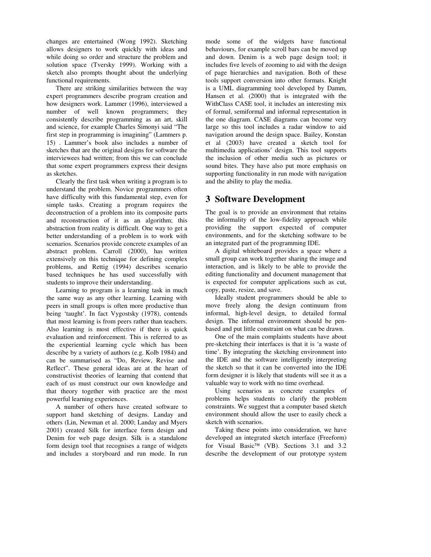changes are entertained (Wong 1992). Sketching allows designers to work quickly with ideas and while doing so order and structure the problem and solution space (Tversky 1999). Working with a sketch also prompts thought about the underlying functional requirements.

There are striking similarities between the way expert programmers describe program creation and how designers work. Lammer (1996), interviewed a number of well known programmers; they consistently describe programming as an art, skill and science, for example Charles Simonyi said "The first step in programming is imagining" (Lammers p. 15) . Lammer's book also includes a number of sketches that are the original designs for software the interviewees had written; from this we can conclude that some expert programmers express their designs as sketches.

Clearly the first task when writing a program is to understand the problem. Novice programmers often have difficulty with this fundamental step, even for simple tasks. Creating a program requires the deconstruction of a problem into its composite parts and reconstruction of it as an algorithm; this abstraction from reality is difficult. One way to get a better understanding of a problem is to work with scenarios. Scenarios provide concrete examples of an abstract problem. Carroll (2000), has written extensively on this technique for defining complex problems, and Rettig (1994) describes scenario based techniques he has used successfully with students to improve their understanding.

Learning to program is a learning task in much the same way as any other learning. Learning with peers in small groups is often more productive than being 'taught'. In fact Vygostsky (1978), contends that most learning is from peers rather than teachers. Also learning is most effective if there is quick evaluation and reinforcement. This is referred to as the experiential learning cycle which has been describe by a variety of authors (e.g. Kolb 1984) and can be summarised as "Do, Review, Revise and Reflect". These general ideas are at the heart of constructivist theories of learning that contend that each of us must construct our own knowledge and that theory together with practice are the most powerful learning experiences.

A number of others have created software to support hand sketching of designs. Landay and others (Lin, Newman et al. 2000; Landay and Myers 2001) created Silk for interface form design and Denim for web page design. Silk is a standalone form design tool that recognises a range of widgets and includes a storyboard and run mode. In run mode some of the widgets have functional behaviours, for example scroll bars can be moved up and down. Denim is a web page design tool; it includes five levels of zooming to aid with the design of page hierarchies and navigation. Both of these tools support conversion into other formats. Knight is a UML diagramming tool developed by Damm, Hansen et al. (2000) that is integrated with the WithClass CASE tool, it includes an interesting mix of formal, semiformal and informal representation in the one diagram. CASE diagrams can become very large so this tool includes a radar window to aid navigation around the design space. Bailey, Konstan et al (2003) have created a sketch tool for multimedia applications' design. This tool supports the inclusion of other media such as pictures or sound bites. They have also put more emphasis on supporting functionality in run mode with navigation and the ability to play the media.

## **3 Software Development**

The goal is to provide an environment that retains the informality of the low-fidelity approach while providing the support expected of computer environments, and for the sketching software to be an integrated part of the programming IDE.

A digital whiteboard provides a space where a small group can work together sharing the image and interaction, and is likely to be able to provide the editing functionality and document management that is expected for computer applications such as cut, copy, paste, resize, and save.

Ideally student programmers should be able to move freely along the design continuum from informal, high-level design, to detailed formal design. The informal environment should be penbased and put little constraint on what can be drawn.

One of the main complaints students have about pre-sketching their interfaces is that it is 'a waste of time'. By integrating the sketching environment into the IDE and the software intelligently interpreting the sketch so that it can be converted into the IDE form designer it is likely that students will see it as a valuable way to work with no time overhead.

Using scenarios as concrete examples of problems helps students to clarify the problem constraints. We suggest that a computer based sketch environment should allow the user to easily check a sketch with scenarios.

Taking these points into consideration, we have developed an integrated sketch interface (Freeform) for Visual Basic<sup>TM</sup> (VB). Sections 3.1 and 3.2 describe the development of our prototype system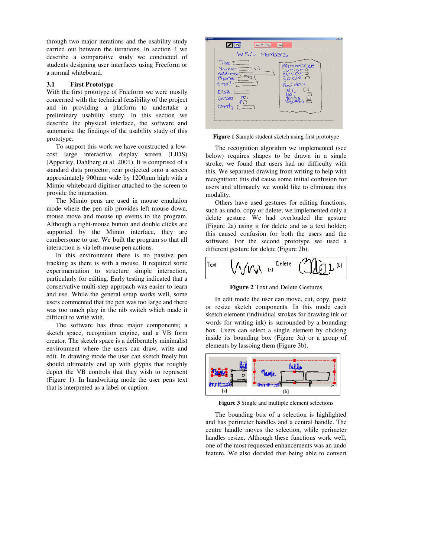through two major iterations and the usability study carried out between the iterations. In section 4 we describe a comparative study we conducted of students designing user interfaces using Freeform or a normal whiteboard.

#### **3.1 First Prototype**

With the first prototype of Freeform we were mostly concerned with the technical feasibility of the project and in providing a platform to undertake a preliminary usability study. In this section we describe the physical interface, the software and summarise the findings of the usability study of this prototype.

To support this work we have constructed a lowcost large interactive display screen (LIDS) (Apperley, Dahlberg et al. 2001). It is comprised of a standard data projector, rear projected onto a screen approximately 900mm wide by 1200mm high with a Mimio whiteboard digitiser attached to the screen to provide the interaction.

The Mimio pens are used in mouse emulation mode where the pen nib provides left mouse down, mouse move and mouse up events to the program. Although a right-mouse button and double clicks are supported by the Mimio interface, they are cumbersome to use. We built the program so that all interaction is via left-mouse pen actions.

In this environment there is no passive pen tracking as there is with a mouse. It required some experimentation to structure simple interaction, particularly for editing. Early testing indicated that a conservative multi-step approach was easier to learn and use. While the general setup works well, some users commented that the pen was too large and there was too much play in the nib switch which made it difficult to write with.

The software has three major components; a sketch space, recognition engine, and a VB form creator. The sketch space is a deliberately minimalist environment where the users can draw, write and edit. In drawing mode the user can sketch freely but should ultimately end up with glyphs that roughly depict the VB controls that they wish to represent (Figure 1). In handwriting mode the user pens text that is interpreted as a label or caption.

| ərm 1 |                                                                                                                                                                                                       | $-1012$ |
|-------|-------------------------------------------------------------------------------------------------------------------------------------------------------------------------------------------------------|---------|
|       | $_{\text{Oex}}$ +<br>Map                                                                                                                                                                              |         |
|       | WSC-Members<br>$\frac{1}{1}$ the $\frac{1}{1}$<br>Membership<br>Name: [<br>$\triangledown$<br>Address.<br>$ a \rightcirc$<br>Phone: I<br>$email·t^-$<br>Facilities<br>DOB: 1<br>Genaer: mo<br>ethoty: |         |
|       |                                                                                                                                                                                                       |         |

**Figure 1** Sample student sketch using first prototype

The recognition algorithm we implemented (see below) requires shapes to be drawn in a single stroke; we found that users had no difficulty with this. We separated drawing from writing to help with recognition; this did cause some initial confusion for users and ultimately we would like to eliminate this modality.

Others have used gestures for editing functions, such as undo, copy or delete; we implemented only a delete gesture. We had overloaded the gesture (Figure 2a) using it for delete and as a text holder; this caused confusion for both the users and the software. For the second prototype we used a different gesture for delete (Figure 2b).



**Figure 2** Text and Delete Gestures

In edit mode the user can move, cut, copy, paste or resize sketch components. In this mode each sketch element (individual strokes for drawing ink or words for writing ink) is surrounded by a bounding box. Users can select a single element by clicking inside its bounding box (Figure 3a) or a group of elements by lassoing them (Figure 3b).



**Figure 3** Single and multiple element selections

The bounding box of a selection is highlighted and has perimeter handles and a central handle. The centre handle moves the selection, while perimeter handles resize. Although these functions work well, one of the most requested enhancements was an undo feature. We also decided that being able to convert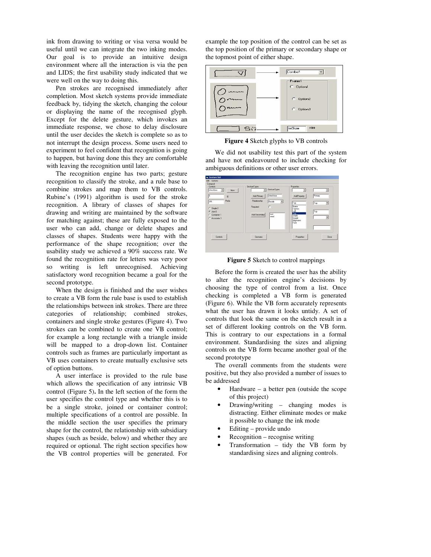ink from drawing to writing or visa versa would be useful until we can integrate the two inking modes. Our goal is to provide an intuitive design environment where all the interaction is via the pen and LIDS; the first usability study indicated that we were well on the way to doing this.

Pen strokes are recognised immediately after completion. Most sketch systems provide immediate feedback by, tidying the sketch, changing the colour or displaying the name of the recognised glyph. Except for the delete gesture, which invokes an immediate response, we chose to delay disclosure until the user decides the sketch is complete so as to not interrupt the design process. Some users need to experiment to feel confident that recognition is going to happen, but having done this they are comfortable with leaving the recognition until later.

The recognition engine has two parts; gesture recognition to classify the stroke, and a rule base to combine strokes and map them to VB controls. Rubine's (1991) algorithm is used for the stroke recognition. A library of classes of shapes for drawing and writing are maintained by the software for matching against; these are fully exposed to the user who can add, change or delete shapes and classes of shapes. Students were happy with the performance of the shape recognition; over the usability study we achieved a 90% success rate. We found the recognition rate for letters was very poor so writing is left unrecognised. Achieving satisfactory word recognition became a goal for the second prototype.

When the design is finished and the user wishes to create a VB form the rule base is used to establish the relationships between ink strokes. There are three categories of relationship; combined strokes, containers and single stroke gestures (Figure 4). Two strokes can be combined to create one VB control; for example a long rectangle with a triangle inside will be mapped to a drop-down list. Container controls such as frames are particularly important as VB uses containers to create mutually exclusive sets of option buttons.

A user interface is provided to the rule base which allows the specification of any intrinsic VB control (Figure 5)**.** In the left section of the form the user specifies the control type and whether this is to be a single stroke, joined or container control; multiple specifications of a control are possible. In the middle section the user specifies the primary shape for the control, the relationship with subsidiary shapes (such as beside, below) and whether they are required or optional. The right section specifies how the VB control properties will be generated. For

example the top position of the control can be set as the top position of the primary or secondary shape or the topmost point of either shape.



**Figure 4** Sketch glyphs to VB controls

We did not usability test this part of the system and have not endeavoured to include checking for ambiguous definitions or other user errors.

| Elle Options<br>Composit<br>Controls:                          | GestureTypes                                                        | <b>Properties</b>                                              |                                     |
|----------------------------------------------------------------|---------------------------------------------------------------------|----------------------------------------------------------------|-------------------------------------|
| checkbox<br>▾<br>New.<br>16<br>ID                              | GestureTypes<br>$\overline{\phantom{a}}$<br>checkbox<br>Add Primary | ۰<br>AddProperty.                                              | $\overline{\phantom{a}}$<br>Primary |
| <b>Prefix</b><br><b>chk</b>                                    | Relationship<br>Beside<br>회<br>г<br>Required                        | Top<br>Name                                                    | Top<br>$\blacksquare$               |
| $C$ Single 2<br>$G$ Join $0$<br>C Container 1<br>C Associate 3 | text<br>Add Secondary<br>word                                       | Caption<br>Left<br>Top<br>Width<br>Height<br>Alignment<br>Font | Top<br>$\blacktriangledown$         |
| Controls                                                       | Gestures                                                            | Properties                                                     | Close                               |

**Figure 5** Sketch to control mappings

Before the form is created the user has the ability to alter the recognition engine's decisions by choosing the type of control from a list. Once checking is completed a VB form is generated (Figure 6). While the VB form accurately represents what the user has drawn it looks untidy. A set of controls that look the same on the sketch result in a set of different looking controls on the VB form. This is contrary to our expectations in a formal environment. Standardising the sizes and aligning controls on the VB form became another goal of the second prototype

The overall comments from the students were positive, but they also provided a number of issues to be addressed

- $Hardware a better pen (outside the scope)$ of this project)
- Drawing/writing changing modes is distracting. Either eliminate modes or make it possible to change the ink mode
- Editing provide undo
- Recognition recognise writing
- Transformation tidy the VB form by standardising sizes and aligning controls.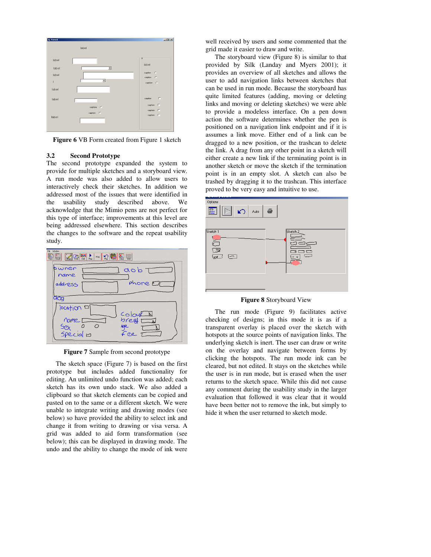

**Figure 6** VB Form created from Figure 1 sketch

#### **3.2 Second Prototype**

The second prototype expanded the system to provide for multiple sketches and a storyboard view. A run mode was also added to allow users to interactively check their sketches. In addition we addressed most of the issues that were identified in the usability study described above. We acknowledge that the Mimio pens are not perfect for this type of interface; improvements at this level are being addressed elsewhere. This section describes the changes to the software and the repeat usability study.



**Figure 7** Sample from second prototype

The sketch space (Figure 7) is based on the first prototype but includes added functionality for editing. An unlimited undo function was added; each sketch has its own undo stack. We also added a clipboard so that sketch elements can be copied and pasted on to the same or a different sketch. We were unable to integrate writing and drawing modes (see below) so have provided the ability to select ink and change it from writing to drawing or visa versa. A grid was added to aid form transformation (see below); this can be displayed in drawing mode. The undo and the ability to change the mode of ink were well received by users and some commented that the grid made it easier to draw and write.

The storyboard view (Figure 8) is similar to that provided by Silk (Landay and Myers 2001); it provides an overview of all sketches and allows the user to add navigation links between sketches that can be used in run mode. Because the storyboard has quite limited features (adding, moving or deleting links and moving or deleting sketches) we were able to provide a modeless interface. On a pen down action the software determines whether the pen is positioned on a navigation link endpoint and if it is assumes a link move. Either end of a link can be dragged to a new position, or the trashcan to delete the link. A drag from any other point in a sketch will either create a new link if the terminating point is in another sketch or move the sketch if the termination point is in an empty slot. A sketch can also be trashed by dragging it to the trashcan. This interface proved to be very easy and intuitive to use.



**Figure 8** Storyboard View

The run mode (Figure 9) facilitates active checking of designs; in this mode it is as if a transparent overlay is placed over the sketch with hotspots at the source points of navigation links. The underlying sketch is inert. The user can draw or write on the overlay and navigate between forms by clicking the hotspots. The run mode ink can be cleared, but not edited. It stays on the sketches while the user is in run mode, but is erased when the user returns to the sketch space. While this did not cause any comment during the usability study in the larger evaluation that followed it was clear that it would have been better not to remove the ink, but simply to hide it when the user returned to sketch mode.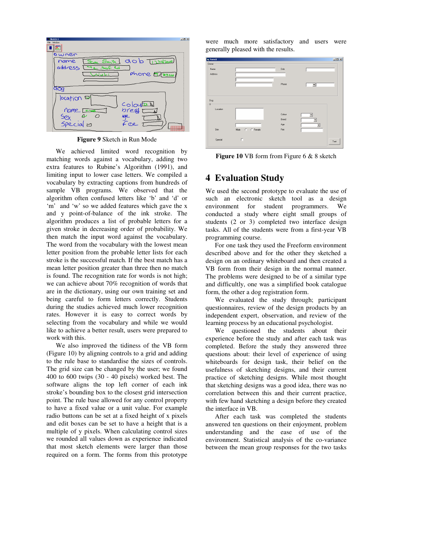

**Figure 9** Sketch in Run Mode

We achieved limited word recognition by matching words against a vocabulary, adding two extra features to Rubine's Algorithm (1991), and limiting input to lower case letters. We compiled a vocabulary by extracting captions from hundreds of sample VB programs. We observed that the algorithm often confused letters like 'b' and 'd' or 'm' and 'w' so we added features which gave the x and y point-of-balance of the ink stroke. The algorithm produces a list of probable letters for a given stroke in decreasing order of probability. We then match the input word against the vocabulary. The word from the vocabulary with the lowest mean letter position from the probable letter lists for each stroke is the successful match. If the best match has a mean letter position greater than three then no match is found. The recognition rate for words is not high; we can achieve about 70% recognition of words that are in the dictionary, using our own training set and being careful to form letters correctly. Students during the studies achieved much lower recognition rates. However it is easy to correct words by selecting from the vocabulary and while we would like to achieve a better result, users were prepared to work with this.

We also improved the tidiness of the VB form (Figure 10) by aligning controls to a grid and adding to the rule base to standardise the sizes of controls. The grid size can be changed by the user; we found 400 to 600 twips (30 - 40 pixels) worked best. The software aligns the top left corner of each ink stroke's bounding box to the closest grid intersection point. The rule base allowed for any control property to have a fixed value or a unit value. For example radio buttons can be set at a fixed height of x pixels and edit boxes can be set to have a height that is a multiple of y pixels. When calculating control sizes we rounded all values down as experience indicated that most sketch elements were larger than those required on a form. The forms from this prototype were much more satisfactory and users were generally pleased with the results.



**Figure 10** VB form from Figure 6 & 8 sketch

## **4 Evaluation Study**

We used the second prototype to evaluate the use of such an electronic sketch tool as a design environment for student programmers. We conducted a study where eight small groups of students (2 or 3) completed two interface design tasks. All of the students were from a first-year VB programming course.

For one task they used the Freeform environment described above and for the other they sketched a design on an ordinary whiteboard and then created a VB form from their design in the normal manner. The problems were designed to be of a similar type and difficultly, one was a simplified book catalogue form, the other a dog registration form.

We evaluated the study through; participant questionnaires, review of the design products by an independent expert, observation, and review of the learning process by an educational psychologist.

We questioned the students about their experience before the study and after each task was completed. Before the study they answered three questions about: their level of experience of using whiteboards for design task, their belief on the usefulness of sketching designs, and their current practice of sketching designs. While most thought that sketching designs was a good idea, there was no correlation between this and their current practice, with few hand sketching a design before they created the interface in VB.

After each task was completed the students answered ten questions on their enjoyment, problem understanding and the ease of use of the environment. Statistical analysis of the co-variance between the mean group responses for the two tasks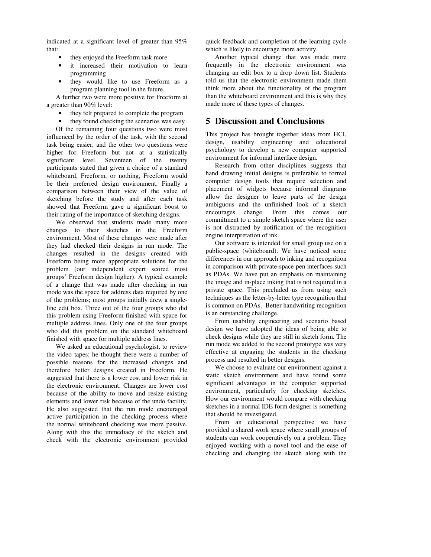indicated at a significant level of greater than 95% that:

- they enjoyed the Freeform task more
- it increased their motivation to learn programming
- they would like to use Freeform as a program planning tool in the future.

A further two were more positive for Freeform at a greater than 90% level:

- they felt prepared to complete the program
- they found checking the scenarios was easy

Of the remaining four questions two were most influenced by the order of the task, with the second task being easier, and the other two questions were higher for Freeform but not at a statistically significant level. Seventeen of the twenty participants stated that given a choice of a standard whiteboard, Freeform, or nothing, Freeform would be their preferred design environment. Finally a comparison between their view of the value of sketching before the study and after each task showed that Freeform gave a significant boost to their rating of the importance of sketching designs.

We observed that students made many more changes to their sketches in the Freeform environment. Most of these changes were made after they had checked their designs in run mode. The changes resulted in the designs created with Freeform being more appropriate solutions for the problem (our independent expert scored most groups' Freeform design higher). A typical example of a change that was made after checking in run mode was the space for address data required by one of the problems; most groups initially drew a singleline edit box. Three out of the four groups who did this problem using Freeform finished with space for multiple address lines. Only one of the four groups who did this problem on the standard whiteboard finished with space for multiple address lines.

We asked an educational psychologist, to review the video tapes; he thought there were a number of possible reasons for the increased changes and therefore better designs created in Freeform. He suggested that there is a lower cost and lower risk in the electronic environment. Changes are lower cost because of the ability to move and resize existing elements and lower risk because of the undo facility. He also suggested that the run mode encouraged active participation in the checking process where the normal whiteboard checking was more passive. Along with this the immediacy of the sketch and check with the electronic environment provided quick feedback and completion of the learning cycle which is likely to encourage more activity.

Another typical change that was made more frequently in the electronic environment was changing an edit box to a drop down list. Students told us that the electronic environment made them think more about the functionality of the program than the whiteboard environment and this is why they made more of these types of changes.

### **5 Discussion and Conclusions**

This project has brought together ideas from HCI, design, usability engineering and educational psychology to develop a new computer supported environment for informal interface design.

Research from other disciplines suggests that hand drawing initial designs is preferable to formal computer design tools that require selection and placement of widgets because informal diagrams allow the designer to leave parts of the design ambiguous and the unfinished look of a sketch encourages change. From this comes our commitment to a simple sketch space where the user is not distracted by notification of the recognition engine interpretation of ink.

Our software is intended for small group use on a public-space (whiteboard). We have noticed some differences in our approach to inking and recognition in comparison with private-space pen interfaces such as PDAs. We have put an emphasis on maintaining the image and in-place inking that is not required in a private space. This precluded us from using such techniques as the letter-by-letter type recognition that is common on PDAs. Better handwriting recognition is an outstanding challenge.

From usability engineering and scenario based design we have adopted the ideas of being able to check designs while they are still in sketch form. The run mode we added to the second prototype was very effective at engaging the students in the checking process and resulted in better designs.

We choose to evaluate our environment against a static sketch environment and have found some significant advantages in the computer supported environment, particularly for checking sketches. How our environment would compare with checking sketches in a normal IDE form designer is something that should be investigated.

From an educational perspective we have provided a shared work space where small groups of students can work cooperatively on a problem. They enjoyed working with a novel tool and the ease of checking and changing the sketch along with the